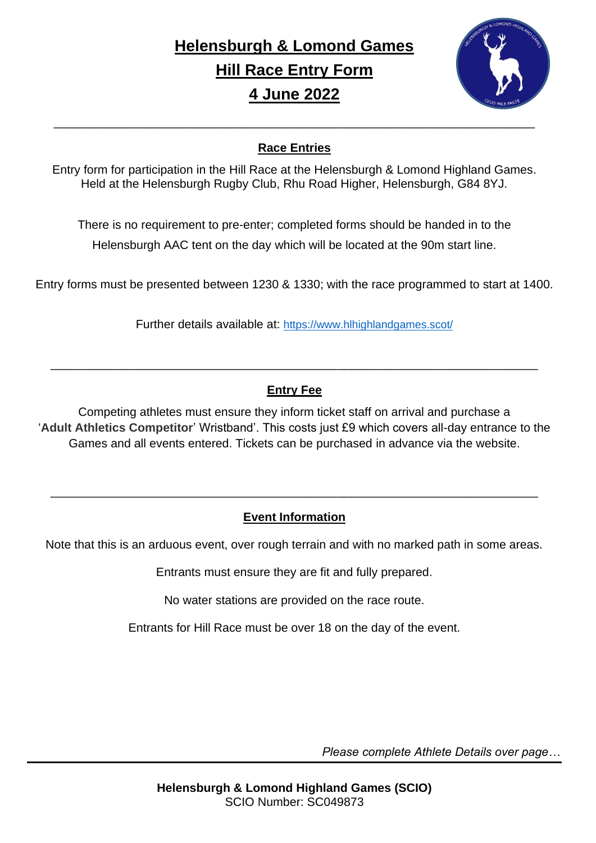# **Helensburgh & Lomond Games Hill Race Entry Form 4 June 2022**



#### **Race Entries**

Entry form for participation in the Hill Race at the Helensburgh & Lomond Highland Games. Held at the Helensburgh Rugby Club, Rhu Road Higher, Helensburgh, G84 8YJ.

There is no requirement to pre-enter; completed forms should be handed in to the Helensburgh AAC tent on the day which will be located at the 90m start line.

Entry forms must be presented between 1230 & 1330; with the race programmed to start at 1400.

Further details available at: <https://www.hlhighlandgames.scot/>

#### **Entry Fee**

\_\_\_\_\_\_\_\_\_\_\_\_\_\_\_\_\_\_\_\_\_\_\_\_\_\_\_\_\_\_\_\_\_\_\_\_\_\_\_\_\_\_\_\_\_\_\_\_\_\_\_\_\_\_\_\_\_\_\_\_\_\_\_\_\_\_\_\_\_\_\_\_\_

Competing athletes must ensure they inform ticket staff on arrival and purchase a '**Adult Athletics Competitor**' Wristband'. This costs just £9 which covers all-day entrance to the Games and all events entered. Tickets can be purchased in advance via the website.

### **Event Information**

\_\_\_\_\_\_\_\_\_\_\_\_\_\_\_\_\_\_\_\_\_\_\_\_\_\_\_\_\_\_\_\_\_\_\_\_\_\_\_\_\_\_\_\_\_\_\_\_\_\_\_\_\_\_\_\_\_\_\_\_\_\_\_\_\_\_\_\_\_\_\_\_\_

Note that this is an arduous event, over rough terrain and with no marked path in some areas.

Entrants must ensure they are fit and fully prepared.

No water stations are provided on the race route.

Entrants for Hill Race must be over 18 on the day of the event.

*Please complete Athlete Details over page…*